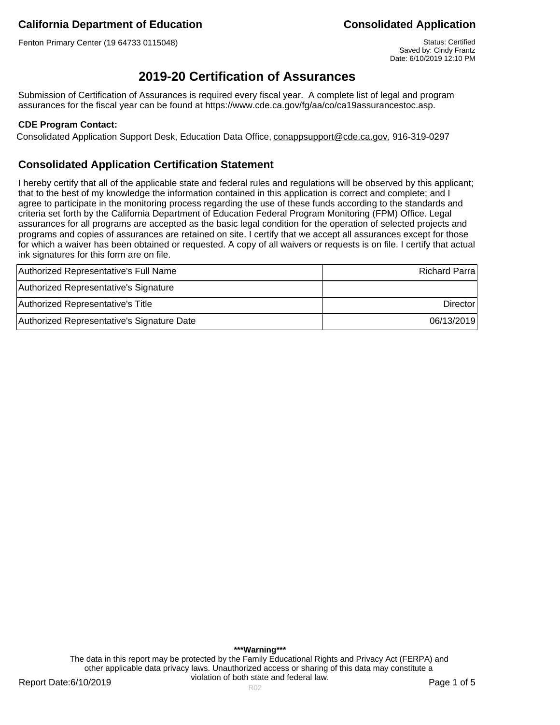Fenton Primary Center (19 64733 0115048) Status: Certified

Saved by: Cindy Frantz Date: 6/10/2019 12:10 PM

# **2019-20 Certification of Assurances**

Submission of Certification of Assurances is required every fiscal year. A complete list of legal and program assurances for the fiscal year can be found at https://www.cde.ca.gov/fg/aa/co/ca19assurancestoc.asp.

### **CDE Program Contact:**

Consolidated Application Support Desk, Education Data Office, conappsupport@cde.ca.gov, 916-319-0297

## **Consolidated Application Certification Statement**

I hereby certify that all of the applicable state and federal rules and regulations will be observed by this applicant; that to the best of my knowledge the information contained in this application is correct and complete; and I agree to participate in the monitoring process regarding the use of these funds according to the standards and criteria set forth by the California Department of Education Federal Program Monitoring (FPM) Office. Legal assurances for all programs are accepted as the basic legal condition for the operation of selected projects and programs and copies of assurances are retained on site. I certify that we accept all assurances except for those for which a waiver has been obtained or requested. A copy of all waivers or requests is on file. I certify that actual ink signatures for this form are on file.

| Authorized Representative's Full Name      | <b>Richard Parra</b> |
|--------------------------------------------|----------------------|
| Authorized Representative's Signature      |                      |
| Authorized Representative's Title          | <b>Director</b>      |
| Authorized Representative's Signature Date | 06/13/2019           |

**\*\*\*Warning\*\*\*** The data in this report may be protected by the Family Educational Rights and Privacy Act (FERPA) and other applicable data privacy laws. Unauthorized access or sharing of this data may constitute a violation of both state and federal law.

Report Date:6/10/2019 **Page 1 of 5** Report Date:6/10/2019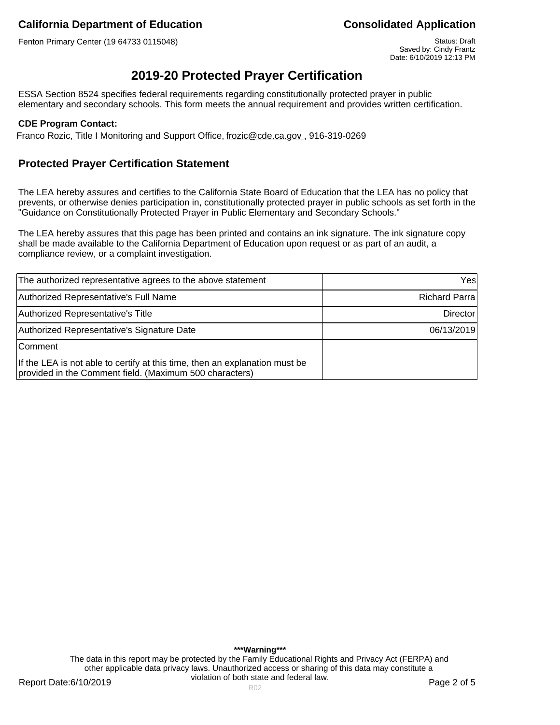Fenton Primary Center (19 64733 0115048) Status: Draft Status: Draft Status: Draft

Saved by: Cindy Frantz Date: 6/10/2019 12:13 PM

# **2019-20 Protected Prayer Certification**

ESSA Section 8524 specifies federal requirements regarding constitutionally protected prayer in public elementary and secondary schools. This form meets the annual requirement and provides written certification.

### **CDE Program Contact:**

Franco Rozic, Title I Monitoring and Support Office, frozic@cde.ca.gov., 916-319-0269

## **Protected Prayer Certification Statement**

The LEA hereby assures and certifies to the California State Board of Education that the LEA has no policy that prevents, or otherwise denies participation in, constitutionally protected prayer in public schools as set forth in the "Guidance on Constitutionally Protected Prayer in Public Elementary and Secondary Schools."

The LEA hereby assures that this page has been printed and contains an ink signature. The ink signature copy shall be made available to the California Department of Education upon request or as part of an audit, a compliance review, or a complaint investigation.

| The authorized representative agrees to the above statement                                                                            | Yesl          |
|----------------------------------------------------------------------------------------------------------------------------------------|---------------|
| Authorized Representative's Full Name                                                                                                  | Richard Parra |
| Authorized Representative's Title                                                                                                      | Director      |
| Authorized Representative's Signature Date                                                                                             | 06/13/2019    |
| Comment                                                                                                                                |               |
| If the LEA is not able to certify at this time, then an explanation must be<br>provided in the Comment field. (Maximum 500 characters) |               |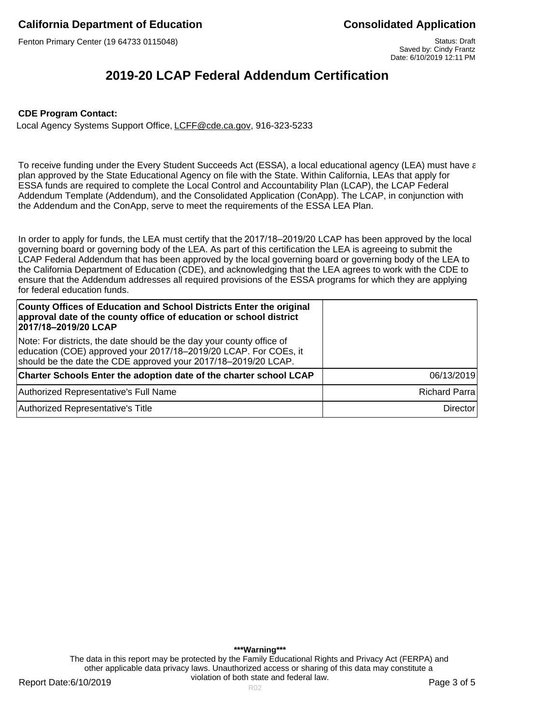Fenton Primary Center (19 64733 0115048) Status: Draft Status: Draft Status: Draft

Saved by: Cindy Frantz Date: 6/10/2019 12:11 PM

# **2019-20 LCAP Federal Addendum Certification**

#### **CDE Program Contact:**

Local Agency Systems Support Office, LCFF@cde.ca.gov, 916-323-5233

To receive funding under the Every Student Succeeds Act (ESSA), a local educational agency (LEA) must have a plan approved by the State Educational Agency on file with the State. Within California, LEAs that apply for ESSA funds are required to complete the Local Control and Accountability Plan (LCAP), the LCAP Federal Addendum Template (Addendum), and the Consolidated Application (ConApp). The LCAP, in conjunction with the Addendum and the ConApp, serve to meet the requirements of the ESSA LEA Plan.

In order to apply for funds, the LEA must certify that the 2017/18–2019/20 LCAP has been approved by the local governing board or governing body of the LEA. As part of this certification the LEA is agreeing to submit the LCAP Federal Addendum that has been approved by the local governing board or governing body of the LEA to the California Department of Education (CDE), and acknowledging that the LEA agrees to work with the CDE to ensure that the Addendum addresses all required provisions of the ESSA programs for which they are applying for federal education funds.

| County Offices of Education and School Districts Enter the original<br>approval date of the county office of education or school district<br>2017/18-2019/20 LCAP                                           |                      |
|-------------------------------------------------------------------------------------------------------------------------------------------------------------------------------------------------------------|----------------------|
| Note: For districts, the date should be the day your county office of<br>education (COE) approved your 2017/18-2019/20 LCAP. For COEs, it<br>should be the date the CDE approved your 2017/18-2019/20 LCAP. |                      |
| Charter Schools Enter the adoption date of the charter school LCAP                                                                                                                                          | 06/13/2019           |
| Authorized Representative's Full Name                                                                                                                                                                       | <b>Richard Parra</b> |
| Authorized Representative's Title                                                                                                                                                                           | <b>Director</b>      |

**\*\*\*Warning\*\*\*** The data in this report may be protected by the Family Educational Rights and Privacy Act (FERPA) and other applicable data privacy laws. Unauthorized access or sharing of this data may constitute a violation of both state and federal law.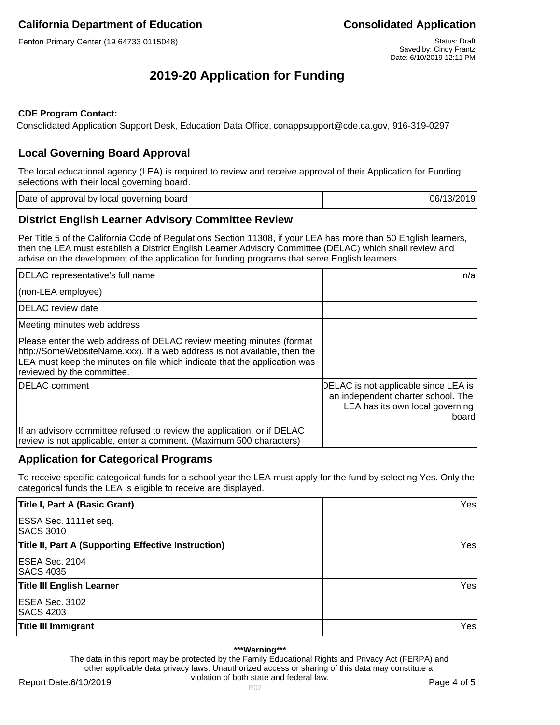Fenton Primary Center (19 64733 0115048) Status: Draft Status: Draft Status: Draft

# **2019-20 Application for Funding**

### **CDE Program Contact:**

Consolidated Application Support Desk, Education Data Office, conappsupport@cde.ca.gov, 916-319-0297

## **Local Governing Board Approval**

The local educational agency (LEA) is required to review and receive approval of their Application for Funding selections with their local governing board.

| Date of approval by local governing board | 06/13/2019 |
|-------------------------------------------|------------|
|                                           |            |

## **District English Learner Advisory Committee Review**

Per Title 5 of the California Code of Regulations Section 11308, if your LEA has more than 50 English learners, then the LEA must establish a District English Learner Advisory Committee (DELAC) which shall review and advise on the development of the application for funding programs that serve English learners.

| DELAC representative's full name                                                                                                                                                                                                                            | n/a                                                                                                                    |
|-------------------------------------------------------------------------------------------------------------------------------------------------------------------------------------------------------------------------------------------------------------|------------------------------------------------------------------------------------------------------------------------|
| (non-LEA employee)                                                                                                                                                                                                                                          |                                                                                                                        |
| DELAC review date                                                                                                                                                                                                                                           |                                                                                                                        |
| Meeting minutes web address                                                                                                                                                                                                                                 |                                                                                                                        |
| Please enter the web address of DELAC review meeting minutes (format<br>http://SomeWebsiteName.xxx). If a web address is not available, then the<br>LEA must keep the minutes on file which indicate that the application was<br>reviewed by the committee. |                                                                                                                        |
| DELAC comment                                                                                                                                                                                                                                               | DELAC is not applicable since LEA is<br>an independent charter school. The<br>LEA has its own local governing<br>board |
| If an advisory committee refused to review the application, or if DELAC<br>review is not applicable, enter a comment. (Maximum 500 characters)                                                                                                              |                                                                                                                        |

## **Application for Categorical Programs**

To receive specific categorical funds for a school year the LEA must apply for the fund by selecting Yes. Only the categorical funds the LEA is eligible to receive are displayed.

| Title I, Part A (Basic Grant)                              | Yesl |
|------------------------------------------------------------|------|
| ESSA Sec. 1111 et seq.<br><b>SACS 3010</b>                 |      |
| <b>Title II, Part A (Supporting Effective Instruction)</b> | Yesl |
| ESEA Sec. 2104<br><b>SACS 4035</b>                         |      |
| <b>Title III English Learner</b>                           | Yesl |
| ESEA Sec. 3102<br><b>SACS 4203</b>                         |      |
| <b>Title III Immigrant</b>                                 | Yesl |

#### **\*\*\*Warning\*\*\***

The data in this report may be protected by the Family Educational Rights and Privacy Act (FERPA) and other applicable data privacy laws. Unauthorized access or sharing of this data may constitute a violation of both state and federal law.